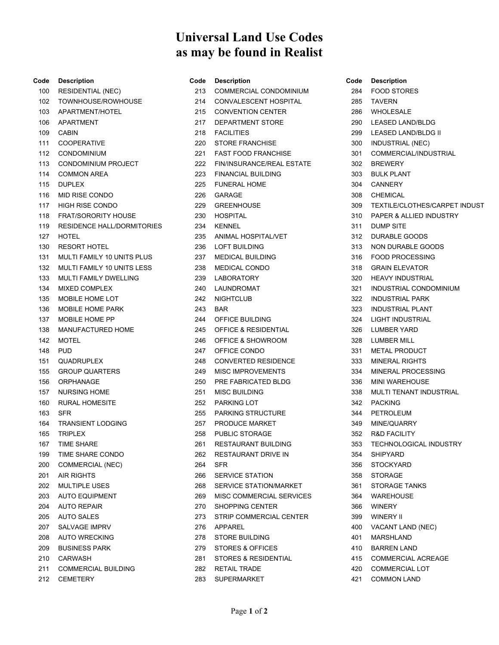## **Universal Land Use Codes as may be found in Realist**

| Code | <b>Description</b>                | Code | <b>Description</b>              |
|------|-----------------------------------|------|---------------------------------|
| 100  | <b>RESIDENTIAL (NEC)</b>          | 213  | <b>COMMERCIAL CONDOMINIUM</b>   |
| 102  | TOWNHOUSE/ROWHOUSE                | 214  | CONVALESCENT HOSPITAL           |
| 103  | APARTMENT/HOTEL                   | 215  | <b>CONVENTION CENTER</b>        |
| 106  | APARTMENT                         | 217  | <b>DEPARTMENT STORE</b>         |
| 109  | <b>CABIN</b>                      | 218  | <b>FACILITIES</b>               |
| 111  | <b>COOPERATIVE</b>                | 220  | <b>STORE FRANCHISE</b>          |
| 112  | <b>CONDOMINIUM</b>                | 221  | <b>FAST FOOD FRANCHISE</b>      |
| 113  | <b>CONDOMINIUM PROJECT</b>        | 222  | FIN/INSURANCE/REAL ESTATE       |
| 114  | <b>COMMON AREA</b>                | 223  | <b>FINANCIAL BUILDING</b>       |
| 115  | <b>DUPLEX</b>                     | 225  | <b>FUNERAL HOME</b>             |
| 116  | MID RISE CONDO                    | 226  | <b>GARAGE</b>                   |
| 117  | <b>HIGH RISE CONDO</b>            | 229  | <b>GREENHOUSE</b>               |
| 118  | <b>FRAT/SORORITY HOUSE</b>        | 230  | <b>HOSPITAL</b>                 |
| 119  | <b>RESIDENCE HALL/DORMITORIES</b> | 234  | <b>KENNEL</b>                   |
| 127  | <b>HOTEL</b>                      | 235  | ANIMAL HOSPITAL/VET             |
| 130  | <b>RESORT HOTEL</b>               | 236  | <b>LOFT BUILDING</b>            |
| 131  | MULTI FAMILY 10 UNITS PLUS        | 237  | MEDICAL BUILDING                |
| 132  | MULTI FAMILY 10 UNITS LESS        | 238  | <b>MEDICAL CONDO</b>            |
| 133  | <b>MULTI FAMILY DWELLING</b>      | 239  | <b>LABORATORY</b>               |
| 134  | <b>MIXED COMPLEX</b>              | 240  | LAUNDROMAT                      |
| 135  | MOBILE HOME LOT                   | 242  | <b>NIGHTCLUB</b>                |
| 136  | MOBILE HOME PARK                  | 243  | <b>BAR</b>                      |
| 137  | <b>MOBILE HOME PP</b>             | 244  | OFFICE BUILDING                 |
| 138  | MANUFACTURED HOME                 | 245  | <b>OFFICE &amp; RESIDENTIAL</b> |
| 142  | <b>MOTEL</b>                      | 246  | <b>OFFICE &amp; SHOWROOM</b>    |
| 148  | <b>PUD</b>                        | 247  | OFFICE CONDO                    |
| 151  | QUADRUPLEX                        | 248  | <b>CONVERTED RESIDENCE</b>      |
| 155  | <b>GROUP QUARTERS</b>             | 249  | <b>MISC IMPROVEMENTS</b>        |
| 156  | <b>ORPHANAGE</b>                  | 250  | PRE FABRICATED BLDG             |
| 157  | <b>NURSING HOME</b>               | 251  | <b>MISC BUILDING</b>            |
| 160  | <b>RURAL HOMESITE</b>             | 252  | <b>PARKING LOT</b>              |
| 163  | <b>SFR</b>                        | 255  | <b>PARKING STRUCTURE</b>        |
| 164  | <b>TRANSIENT LODGING</b>          | 257  | PRODUCE MARKET                  |
| 165  | <b>TRIPLEX</b>                    | 258  | <b>PUBLIC STORAGE</b>           |
| 167  | <b>TIME SHARE</b>                 | 261  | <b>RESTAURANT BUILDING</b>      |
| 199  | TIME SHARE CONDO                  | 262  | RESTAURANT DRIVE IN             |
| 200  | <b>COMMERCIAL (NEC)</b>           | 264  | <b>SFR</b>                      |
| 201  | <b>AIR RIGHTS</b>                 | 266  | <b>SERVICE STATION</b>          |
| 202  | <b>MULTIPLE USES</b>              | 268  | <b>SERVICE STATION/MARKET</b>   |
| 203  | <b>AUTO EQUIPMENT</b>             | 269  | MISC COMMERCIAL SERVICES        |
| 204  | <b>AUTO REPAIR</b>                | 270  | <b>SHOPPING CENTER</b>          |
| 205  | <b>AUTO SALES</b>                 | 273  | STRIP COMMERCIAL CENTER         |
| 207  | SALVAGE IMPRV                     | 276  | APPAREL                         |
| 208  | <b>AUTO WRECKING</b>              | 278  | <b>STORE BUILDING</b>           |
| 209  | <b>BUSINESS PARK</b>              | 279  | STORES & OFFICES                |
| 210  | CARWASH                           | 281  | STORES & RESIDENTIAL            |
| 211  | <b>COMMERCIAL BUILDING</b>        | 282  | RETAIL TRADE                    |
| 212  | CEMETERY                          | 283  | <b>SUPERMARKET</b>              |

| Code | <b>Description</b>                 |
|------|------------------------------------|
|      | 284 FOOD STORES                    |
|      | 285 TAVERN                         |
|      | 286 WHOLESALE                      |
|      | 290 LEASED LAND/BLDG               |
| 299  | LEASED LAND/BLDG II                |
| 300  | <b>INDUSTRIAL (NEC)</b>            |
| 301  | <b>COMMERCIAL/INDUSTRIAL</b>       |
| 302  | <b>BREWERY</b>                     |
|      | 303 BULK PLANT                     |
|      | 304 CANNERY                        |
|      | 308 CHEMICAL                       |
| 309  | TEXTILE/CLOTHES/CARPET INDUST      |
| 310  | <b>PAPER &amp; ALLIED INDUSTRY</b> |
| 311  | <b>DUMP SITE</b>                   |
| 312  | <b>DURABLE GOODS</b>               |
| 313  | NON DURABLE GOODS                  |
|      | 316 FOOD PROCESSING                |
|      | 318 GRAIN ELEVATOR                 |
|      | 320 HEAVY INDUSTRIAL               |
|      | 321 INDUSTRIAL CONDOMINIUM         |
| 322  | <b>INDUSTRIAL PARK</b>             |
| 323  | <b>INDUSTRIAL PLANT</b>            |
| 324  | <b>LIGHT INDUSTRIAL</b>            |
| 326  | <b>LUMBER YARD</b>                 |
| 328  | <b>LUMBER MILL</b>                 |
|      | 331 METAL PRODUCT                  |
| 333  | <b>MINERAL RIGHTS</b>              |
| 334  | <b>MINERAL PROCESSING</b>          |
| 336  | <b>MINI WAREHOUSE</b>              |
| 338  | MULTI TENANT INDUSTRIAL            |
| 342  | <b>PACKING</b>                     |
| 344  | PETROLEUM                          |
|      | 349 MINE/QUARRY                    |
| 352  | R&D FACILITY                       |
| 353  | <b>TECHNOLOGICAL INDUSTRY</b>      |
| 354  | <b>SHIPYARD</b>                    |
| 356  | <b>STOCKYARD</b>                   |
| 358  | <b>STORAGE</b>                     |
| 361  | <b>STORAGE TANKS</b>               |
| 364  | WAREHOUSE                          |
|      | 366 WINERY                         |
|      | 399 WINERY II                      |
| 400  | VACANT LAND (NEC)                  |
| 401  | <b>MARSHLAND</b>                   |
| 410  | <b>BARREN LAND</b>                 |
| 415  | <b>COMMERCIAL ACREAGE</b>          |
| 420  | <b>COMMERCIAL LOT</b>              |
| 421  | <b>COMMON LAND</b>                 |